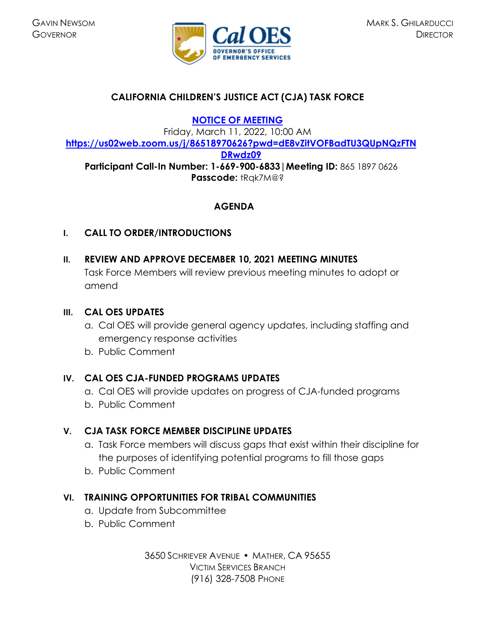

# **CALIFORNIA CHILDREN'S JUSTICE ACT (CJA) TASK FORCE**

**[NOTICE OF MEETING](https://www.caloes.ca.gov/cal-oes-divisions/grants-management/victim-services/meeting-public-notices)** 

Friday, March 11, 2022, 10:00 AM **[https://us02web.zoom.us/j/86518970626?pwd=dE8vZitVOFBadTU3QUpNQzFTN](https://us02web.zoom.us/j/86518970626?pwd=dE8vZitVOFBadTU3QUpNQzFTNDRwdz09) [DRwdz09](https://us02web.zoom.us/j/86518970626?pwd=dE8vZitVOFBadTU3QUpNQzFTNDRwdz09) Participant Call-In Number: 1-669-900-6833|Meeting ID:** 865 1897 0626 **Passcode:** tRqk7M@?

# **AGENDA**

## **I. CALL TO ORDER/INTRODUCTIONS**

**II. REVIEW AND APPROVE DECEMBER 10, 2021 MEETING MINUTES**  Task Force Members will review previous meeting minutes to adopt or amend

## **III. CAL OES UPDATES**

- a. Cal OES will provide general agency updates, including staffing and emergency response activities
- b. Public Comment

# **IV. CAL OES CJA-FUNDED PROGRAMS UPDATES**

- a. Cal OES will provide updates on progress of CJA-funded programs
- b. Public Comment

# **V. CJA TASK FORCE MEMBER DISCIPLINE UPDATES**

- a. Task Force members will discuss gaps that exist within their discipline for the purposes of identifying potential programs to fill those gaps
- b. Public Comment

# **VI. TRAINING OPPORTUNITIES FOR TRIBAL COMMUNITIES**

- a. Update from Subcommittee
- b. Public Comment

3650 SCHRIEVER AVENUE MATHER, CA 95655 VICTIM SERVICES BRANCH (916) 328-7508 PHONE